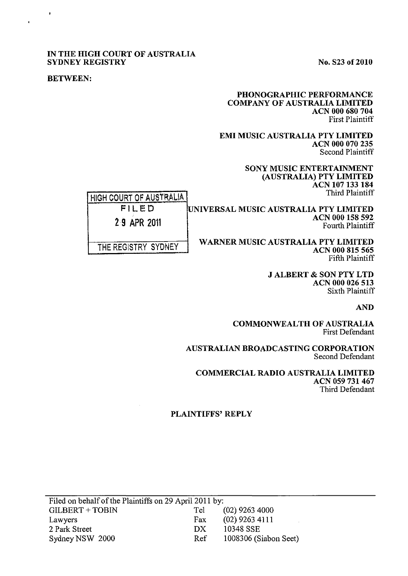#### IN THE HIGH COURT OF AUSTRALIA SYDNEY REGISTRY No. S23 of 2010

ACN 000 158 592 Fourth Plaintiff

#### BETWEEN:

 $\ddot{\phantom{1}}$ 

#### PHONOGRAPHIC PERFORMANCE COMPANY OF AUSTRALIA LIMITED ACN 000 680 704 First Plaintiff

EMI MUSIC AUSTRALIA PTY LIMITED ACN 000 070 235 Second Plaintiff

> SONY MUSIC ENTERTAINMENT (AUSTRALIA) PTY LIMITED ACN 107 133 184 Third Plaintiff

HIGH COURT OF AUSTRALIA FILED 29 APR 2011 UNIVERSAL MUSIC AUSTRALIA PTY LIMITED

THE REGISTRY SYDNEY

WARNER MUSIC AUSTRALIA PTY LIMITED ACN 000 815 565 Fifth Plaintiff

> **J ALBERT & SON PTY LTD** ACN 000 026 513 Sixth Plaintiff

> > AND

COMMONWEALTH OF AUSTRALIA First Defendant

AUSTRALIAN BROADCASTING CORPORATION Second Defendant

COMMERCIAL RADIO AUSTRALIA LIMITED ACN 059 731 467 Third Defendant

### PLAINTIFFS' REPLY

| Filed on behalf of the Plaintiffs on 29 April 2011 by: |     |                       |
|--------------------------------------------------------|-----|-----------------------|
| GILBERT + TOBIN                                        | Tel | $(02)$ 9263 4000      |
| Lawyers                                                | Fax | $(02)$ 9263 4111      |
| 2 Park Street                                          | DX. | 10348 SSE             |
| Sydney NSW 2000                                        | Ref | 1008306 (Siabon Seet) |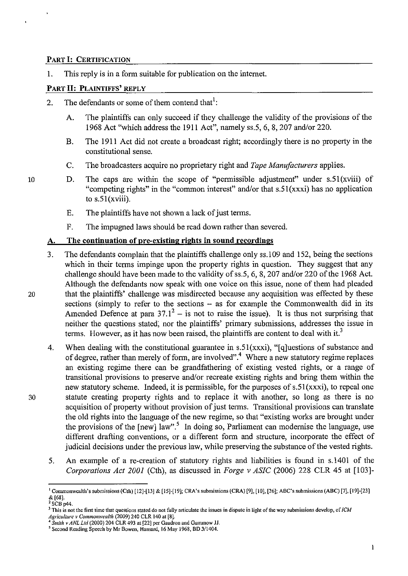### PART I: CERTIFICATION

1. This reply is in a form suitable for publication on the internet.

### PART II: PLAINTIFFS' REPLY

- 2. The defendants or some of them contend that<sup>1</sup>:
	- A. The plaintiffs can only succeed if they challenge the validity of the provisions of the 1968 Act "which address the 1911 Act", namely ss.5, 6, 8, 207 and/or 220.
	- B. The 1911 Act did not create a broadcast right; accordingly there is no property in the constitutional sense.
	- C. The broadcasters acquire no proprietary right and *Tape Manufacturers* applies.
- 10 D. The caps are within the scope of "permissible adjustment" under  $s.51(xviii)$  of "competing rights" in the "common interest" and/or that s.51(xxxi) has no application to  $s.51(xviii)$ .
	- E. The plaintiffs have not shown a lack of just terms.
	- F. The impugned laws should be read down rather than severed.

### A. The continuation of pre-existing rights in sound recordings

- 3. The defendants complain that the plaintiffs challenge only ss.109 and 152, being the sections which in their terms impinge upon the property rights in question. They suggest that any challenge should have been made to the validity of ss.5, 6, 8, 207 and/or 220 of the 1968 Act. Although the defendants now speak with one voice on this issue, none of them had pleaded 20 that the plaintiffs' challenge was misdirected because any acquisition was effected by these sections (simply to refer to the sections - as for example the Commonwealth did in its Amended Defence at para  $37.1^2$  – is not to raise the issue). It is thus not surprising that neither the questions stated; nor the plaintiffs' primary submissions, addresses the issue in terms. However, as it has now been raised, the plaintiffs are content to deal with it.<sup>3</sup>
- 4. When dealing with the constitutional guarantee in s.51(xxxi), "[q]uestions of substance and of degree, rather than merely of form, are involved".4 Where a new statutory regime replaces an existing regime there can be grandfathering of existing vested rights, or a range of transitional provisions to preserve and/or recreate existing rights and bring them within the new statutory scheme. Indeed, it is permissible, for the purposes of  $s.51(xxxi)$ , to repeal one 30 statute creating property rights and to replace it with another, so long as there is no acquisition of property without provision of just terms. Transitional provisions can translate the old rights into the langnage of the new regime, so that "existing works are brought under the provisions of the  $[new]$  law".<sup>5</sup> In doing so, Parliament can modernise the language, use different drafting conventions, or a different form and structure, incorporate the effect of judicial decisions under the previous law, while preserving the substance of the vested rights.
	- 5. An example of a re-creation of statutory rights and liabilities is found in s.1401 of the *Corporations Act 2001* (Cth), as discussed in *Forge* v *ASIC* (2006) 228 CLR 45 at [103]-

<sup>&</sup>lt;sup>1</sup> Commonwealth's submissions (Cth) [12]-[13] & [15]-[19]; CRA's submissions (CRA) [9], [10], [26]; ABC's submissions (ABC) [7], [19]-[23] & [68]. 2 SCB p44.

 $3$  This is not the first time that questions stated do not fully articulate the issues in dispute in light of the way submissions develop, of ICM *Agriculture v Commonwealth (2009) 240 CLR 140 at [8].*<br><sup>4</sup> *Sprith v AML 1.4* (2000) 201  $\overline{C}$  =  $\overline{C}$ 

*<sup>4</sup> Smith v ANL Ltd* (2000) 204 CLR 493 at [22] per Gaudron and Gummow JJ.

<sup>&</sup>lt;sup>5</sup> Second Reading Speech by Mr Bowen, Hansard, 16 May 1968, BD 3/1404.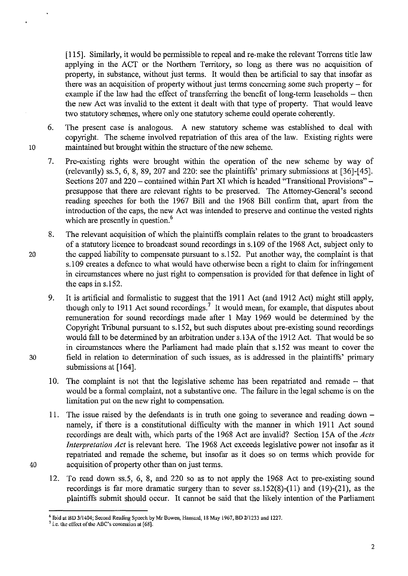[115]. Similarly, it would be permissible to repeal and re-make the relevant Torrens title law applying in the ACT or the Northern Territory, so long as there was no acquisition of property, in substance, without just terms. It would then be artificial to say that insofar as there was an acquisition of property without just terms concerning some such property  $-$  for example if the law had the effect of transferring the benefit of long-term leaseholds  $-$  then the new Act was invalid to the extent it dealt with that type of property. That would leave two statutory schemes, where only one statutory scheme could operate coherently.

- 6. The present case is analogous. A new statutory scheme was established to deal with copyright. The scheme involved repatriation of this area of the law. Existing rights were 10 maintained but brought within the structure of the new scheme.
	- 7. Pre-existing rights were brought within the operation of the new scheme by way of (relevantly) ss.5, 6, 8, 89, 207 and 220: see the plaintiffs' primary submissions at [36]-[45]. Sections 207 and 220 – contained within Part XI which is headed "Transitional Provisions" – presuppose that there are relevant rights to be preserved. The Attorney-General's second reading speeches for both the 1967 Bill and the 1968 Bill confirm that, apart from the introduction of the caps, the new Act was intended to preserve and continue the vested rights which are presently in question.<sup>6</sup>
- 8. The relevant acquisition of which the plaintiffs complain relates to the grant to broadcasters of a statutory licence to broadcast sound recordings in s.1 09 of the 1968 Act, subject only to 20 the capped liability to compensate pursuant to s.152. Put another way, the complaint is that s.109 creates a defence to what would have otherwise been a right to claim for infringement in circumstances where no just right to compensation is provided for that defence in light of the caps in s.152.
- 9. It is artificial and formalistic to suggest that the 1911 Act (and 1912 Act) might still apply, though only to 1911 Act sound recordings.<sup>7</sup> It would mean, for example, that disputes about remuneration for sound recordings made after 1 May 1969 would be determined by the Copyright Tribunal pursuant to s.152, but such disputes about pre-existing sound recordings would fall to be determined by an arbitration under s.13A of the 1912 Act. That would be so in circumstances where the Parliament had made plain that s.152 was meant to cover the 30 field in relation to determination of such issues, as is addressed in the plaintiffs' primary submissions at [164].
	- 10. The complaint is not that the legislative scheme has been repatriated and remade that would be a formal complaint, not a substantive one. The failure in the legal scheme is on the limitation put on the new right to compensation.
- 11. The issue raised by the defendants is in truth one going to severance and reading down namely, if there is a constitutional difficulty with the manner in which 1911 Act sound recordings are dealt with, which parts of the 1968 Act are invalid? Section 15A of the *Acts Interpretation Act* is relevant here. The 1968 Act exceeds legislative power not insofar as it repatriated and remade the scheme, but insofar as it does so on terms which provide for 40 acquisition of property other than on just terms.
	- 12. To read down ss.5, 6, 8, and 220 so as to not apply the 1968 Act to pre-existing sound recordings is far more dramatic surgery than to sever ss. 152(8)-(11 ) and (19)-(21), as the plaintiffs submit should occur. It cannot be said that the likely intention of the Parliament

<sup>&</sup>lt;sup>6</sup> Ibid at BD 3/1404; Second Reading Speech by Mr Bowen, Hansard, 18 May 1967, BD 2/1233 and 1227.

<sup>&</sup>lt;sup>7</sup> i.e. the effect of the ABC's contention at [68].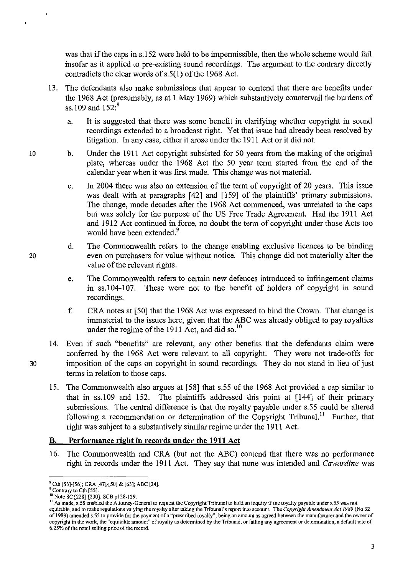was that if the caps in s.152 were held to be impermissible, then the whole scheme would fail insofar as it applied to pre-existing sound recordings. The argument to the contrary directly contradicts the clear words of s.5(1) of the 1968 Act.

- 13. The defendants also make submissions that appear to contend that there are benefits under the 1968 Act (presumably, as at 1 May 1969) which substantively countervail the burdens of ss. 109 and  $152:$ <sup>8</sup>
	- a. It is suggested that there was some benefit in clarifying whether copyright in sound recordings extended to a broadcast right. Yet that issue had already been resolved by litigation. In any case, either it arose under the 1911 Act or it did not.
	- b. Under the 1911 Act copyright subsisted for 50 years from the making of the original plate, whereas under the 1968 Act the 50 year term started from the end of the calendar year when it was first made. This change was not material.
		- c. In 2004 there was also an extension of the term of copyright of 20 years. This issue was dealt with at paragraphs [42] and [159] of the plaintiffs' primary submissions. The change, made decades after the 1968 Act commenced, was unrelated to the caps but was solely for the purpose of the US Free Trade Agreement. Had the 1911 Act and 1912 Act continued in force, no doubt the term of copyright under those Acts too would have been extended.<sup>9</sup>
		- d. The Commonwealth refers to the change enabling exclusive licences to be binding even on purchasers for value without notice. This change did not materially alter the value of the relevant rights.
		- e. The Commonwealth refers to certain new defences introduced to infringement claims in ss.104-107. These were not to the benefit of holders of copyright in sound recordings.
		- f. CRA notes at [50] that the 1968 Act was expressed to bind the Crown. That change is immaterial to the issues here, given that the ABC was already obliged to pay royalties under the regime of the 1911 Act, and did so. $^{10}$
- 14. Even if such "benefits" are relevant, any other benefits that the defendants claim were conferred by the 1968 Act were relevant to all copyright. They were not trade-offs for 30 imposition of the caps on copyright in sound recordings. They do not stand in lieu of just terms in relation to those caps.
	- IS. The Commonwealth also argues at [58] that s.55 of the 1968 Act provided a cap similar to that in ss.109 and 152. The plaintiffs addressed this point at [144] of their primary submissions. The central difference is that the royalty payable under s.55 could be altered following a recommendation or determination of the Copyright Tribunal.<sup>11</sup> Further, that right was subject to a substantively similar regime under the 1911 Act.

# B. **Performance right in records under the 1911** Act

16. The Commonwealth and CRA (but not the ABC) contend that there was no performance right in records under the 1911 Act. They say that none was intended and *Cawardine* was

<sup>•</sup> Cth [53]·[56]; CRA [47]-[50] & [63]; ABC [24].

<sup>&</sup>lt;sup>9</sup> Contrary to Cth [55].

<sup>&</sup>lt;sup>10</sup> Note SC [228]-[230], SCB p128-129.

<sup>&</sup>lt;sup>11</sup> As made, s.58 enabled the Attomey-General to request the Copyright Tribunal to hold an inquiry if the royalty payable under s.55 was not **equitable, and to make regulations vatying the royalty after taking the Tribunal's report into account. The** *Copyright Amendment Act* **/989 (No 32 of 1989) amended s.55 to provide for the payment of a "presctibed royalty", being an amount as agreed between the manufacturer and the owner of copyright in the work, the "equitable amount" of royalty as detennined by the Tribunal, or failing any agreement or detennination, a default rate of 6.25% of the retail selling price of the record.**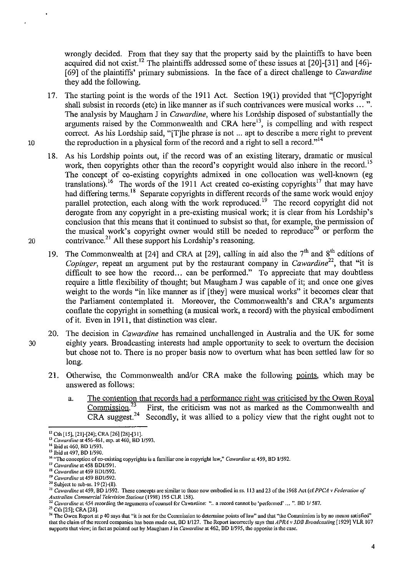wrongly decided. From that they say that the property said by the plaintiffs to have been acquired did not exist.<sup>12</sup> The plaintiffs addressed some of these issues at  $[20]-[31]$  and  $[46]-$ [69] of the plaintiffs' primary submissions. In the face of a direct challenge to *Cawardine*  they add the following.

- 17. The starting point is the words of the 1911 Act. Section 19(1) provided that "[C]opyright shall subsist in records (etc) in like manner as if such contrivances were musical works ... ". The analysis by Maugham J in *Cawardine,* where his Lordship disposed of substantially the arguments raised by the Commonwealth and CRA here<sup>13</sup>, is compelling and with respect correct. As his Lordship said, "[T]he phrase is not ... apt to describe a mere right to prevent 10 the reproduction in a physical form of the record and a right to sell a record." $14$
- 18. As his Lordship points out, if the record was of an existing literary, dramatic or musical work, then copyrights other than the record's copyright would also inhere in the record.<sup>15</sup> The concept of co-existing copyrights admixed in one collocation was well-known (eg translations).<sup>16</sup> The words of the 1911 Act created co-existing copyrights<sup>17</sup> that may have had differing terms.<sup>18</sup> Separate copyrights in different records of the same work would enjoy parallel protection, each along with the work reproduced.<sup>19</sup> The record copyright did not derogate from any copyright in a pre-existing musical work; it is clear from his Lordship's conclusion that this means that it continued to subsist so that, for example, the permission of the musical work's copyright owner would still be needed to reproduce<sup>20</sup> or perform the 20 contrivance.<sup>21</sup> All these support his Lordship's reasoning.
	- 19. The Commonwealth at [24] and CRA at [29], calling in aid also the  $7<sup>th</sup>$  and  $8<sup>th</sup>$  editions of *Copinger*, repeat an argument put by the restaurant company in *Cawardine*<sup>22</sup>, that "it is difficult to see how the record... can be performed." To appreciate that may doubtless require a little flexibility of thought; but Maugham J was capable of it; and once one gives weight to the words "in like manner as if [they] were musical works" it becomes clear that the Parliament contemplated it. Moreover, the Commonwealth's and CRA's arguments conflate the copyright in something (a musical work, a record) with the physical embodiment of it. Even in 1911, that distinction was clear.
- 20. The decision in *Cawardine* has remained unchallenged in Australia and the UK for some 30 eighty years. Broadcasting interests had ample opportunity to seek to overturn the decision but chose not to. There is no proper basis now to overturn what has been settled law for so long.
	- 21. Otherwise, the Commonwealth and/or CRA make the following points, which may be answered as follows:
		- a. The contention that records had a performance right was criticised by the Owen Royal Commission.<sup>23</sup> First, the criticism was not as marked as the Commonwealth and CRA suggest.<sup>24</sup> Secondly, it was allied to a policy v First, the criticism was not as marked as the Commonwealth and Secondly, it was allied to a policy view that the right ought not to

<sup>22</sup> Cawardine at 454 recording the arguments of counsel for Cawardine: ".. a record cannot be 'performed' ... ". BD 1/587.

<sup>23</sup> Cth [25]; CRA [28].

<sup>&</sup>lt;sup>12</sup> Cth [15], [21]-[24]; CRA [26] [28]-[31].

**<sup>13</sup>***Cawardine* **at 456-461, esp. at 460, BD 11593. 14 lbid at 460, BD** *1/593.* 

**<sup>151</sup>bid at 497, BD 1/590.** 

<sup>&</sup>lt;sup>16</sup> "The conception of co-existing copyrights is a familiar one in copyright law," *Cawardine* at 459, BD 1/592.

**<sup>17</sup>***Cawardine* **at 458** *801/591.* 

*<sup>18</sup> Cawardine* **at 459** *8D1I592.* 

**<sup>19</sup>***Cawardine* **at 4598011592.** 

**<sup>20</sup> Subject to sub-ss. 19 (2)-(8).** 

**<sup>21</sup>***Cawardine* **at 459, BD 11592. These concepts are** similar to **those now embodied in ss. 113 and 23** of the **1968 Act** *(cfPPCA v Federation of Australian Commercial Television Stations* **(1998) 195 CLR 158).** 

<sup>&</sup>lt;sup>24</sup> The Owen Report at p 40 says that "it is not for the Commission to determine points of law" and that "the Commission is by no means satisfied" that the claim of the record companies has been made out, BD 1/127. The Report incorrectly says that *APRA v 3DB Broadcasting* [1929] VLR 107 **supports that view; in fact as pointed out by Maugham J in** *Cawardine* **at 462, BD 1/595, the opposite is the case.**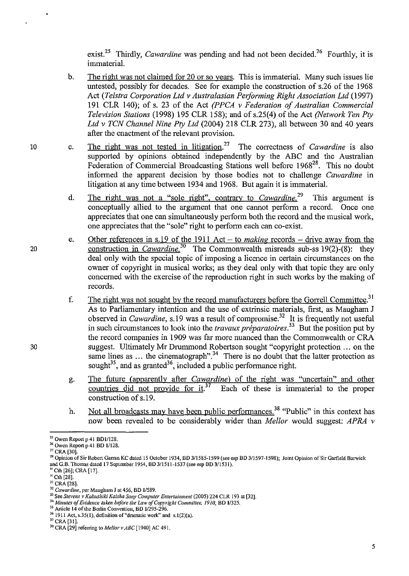exist.<sup>25</sup> Thirdly, *Cawardine* was pending and had not been decided.<sup>26</sup> Fourthly, it is immaterial.

- b. The right was not claimed for 20 or so years. This is immaterial. Many such issues lie untested, possibly for decades. See for example the construction of s.26 of the 1968 Act *(Telstra Corporation Ltd v Australasian Performing Right Association Ltd* (1997) 191 CLR 140); of s. 23 of the Act *(PPCA v Federation of Australian Commercial Television Stations* (1998) 195 CLR 158); and of s.25(4) of the Act *(Network Ten Pty Ltd v TCN Channel Nine Pty Ltd* (2004) 218 CLR 273), all between 30 and 40 years after the enactment of the relevant provision.
- c. The right was not tested in litigation.27 The correctness of *Cawardine* is also supported by opinions obtained independently by the ABC and the Australian Federation of Commercial Broadcasting Stations well before 1968<sup>28</sup>. This no doubt informed the apparent decision by those bodies not to challenge *Cawardine* in litigation at any time between 1934 and 1968. But again it is immaterial.
	- d. The right was not a "sole right", contrary to *Cawardine*.<sup>29</sup> This argument is conceptually allied to the argument that one cannot perform a record. Once one appreciates that one can simultaneously perform both the record and the musical work, one appreciates that the "sole" right to perform each can co-exist.
	- e. Other references in s.19 of the 1911 Act - to *making* records - drive away from the construction in *Cawardine*<sup>30</sup> The Commonwealth misreads sub-ss 19(2)-(8): they deal only with the special topic of imposing a licence in certain circumstances on the owner of copyright in musical works; as they deal only with that topic they are only concerned with the exercise of the reproduction right in such works by the making of records.
	- f. The right was not sought by the record manufacturers before the Gorrell Committee.<sup>31</sup> As to Parliamentary intention and the use of extrinsic materials, first, as Maugham J observed in *Cawardine*, s.19 was a result of compromise.<sup>32</sup> It is frequently not useful in such circumstances to look into the *travaux préparatoires*.<sup>33</sup> But the position put by the record companies in 1909 was far more nuanced than the Commonwealth or CRA suggest. Ultimately Mr Drummond Robertson sought "copyright protection ... on the suggest. Chinately the Chamberland 134 There is no doubt that the latter protection as sought<sup>35</sup>, and as granted<sup>36</sup>, included a public performance right.
	- g. The future (apparently after *Cawardine)* of the right was "uncertain" and other countries did not provide for it.<sup>37</sup> Each of these is immaterial to the proper construction of s.19.
	- h. Not all broadcasts may have been public performances.<sup>38</sup> "Public" in this context has now been revealed to be considerably wider than *Melior* would suggest: *APRA v*

10

20

<sup>&</sup>lt;sup>25</sup> Owen Report p 41 BD1/128.

<sup>26</sup> Owen Report p 41 BD *1/128.* 

 $27$  CRA [30].

<sup>&</sup>lt;sup>28</sup> Opinion of Sir Robert Ganan KC dated 15 October 1934, BD 3/1585-1599 (see esp BD 3/1597-1598); Joint Opinion of Sir Garfield Barwick and G.B. Thomas dated 17 September 1954, BD 311511-1537 (see esp BD 3/1531) .

 $29$  Cth [26]; CRA [17].

 $\frac{^{30}}{^{31}}$  CRA [28].

<sup>&</sup>lt;sup>32</sup> Cawardine, per Maugham J at 456, BD 1/589.

<sup>33</sup> See *Stevens v Kabushiki Kaisha Sany Computer Entertainment* (2005) 224 CLR 193 at [32].

<sup>&</sup>lt;sup>34</sup> Minutes of Evidence taken before the Law of Copyright Committee, 1910, BD 1/325.

<sup>3\$</sup> Article 14 of the Berlin Convention, BD *11295-296.* 

 $36$  1911 Act, s.35(1), definition of "dramatic work" and s.1(2)(a).

<sup>&</sup>lt;sup>37</sup> CRA [31].

 $^{38}$  CRA [29] referring to *Mellor v ABC* [1940] AC 491.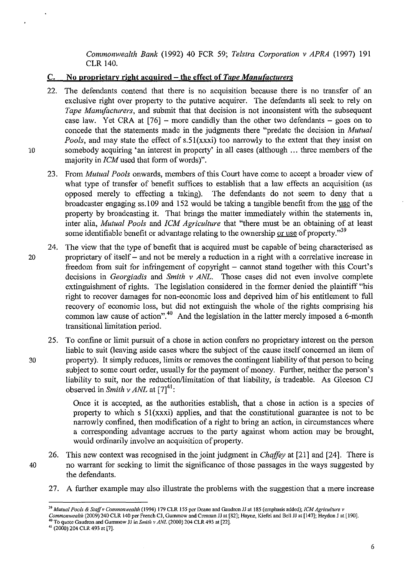*Commonwealth Bank* (1992) 40 FCR 59; *Telstra Corporation* v *APRA* (1997) 191 CLR 140.

## C. No proprietary right acquired - the effect of *Tape Manufacturers*

- 22. The defendants contend that there is no acquisition because there is no transfer of an exclusive right over property to the putative acquirer. The defendants all seek to rely on *Tape Manufacturers,* and submit that that decision is not inconsistent with the subsequent case law. Yet CRA at  $[76]$  – more candidly than the other two defendants – goes on to concede that the statements made in the judgments there "predate the decision in *Mutual Pools, and may state the effect of s.51(xxxi) too narrowly to the extent that they insist on* 10 somebody acquiring 'an interest in property' in all cases (although ... three members of the majority in *ICM* used that form of words)".
	- 23. From *Mutual Pools* onwards, members of this Court have come to accept a broader view of what type of transfer of benefit suffices to establish that a law effects an acquisition (as opposed merely to effecting a taking). The defendants do not seem to deny that a broadcaster engaging ss.109 and 152 would be taking a tangible benefit from the use of the property by broadcasting it. That brings the matter immediately within the statements in, inter alia, *Mutual Pools* and *ICM Agriculture* that "there must be an obtaining of at least some identifiable benefit or advantage relating to the ownership or use of property." $39$
- 24. The view that the type of benefit that is acquired must be capable of being characterised as 20 proprietary of itself - and not be merely a reduction in a right with a correlative increase in freedom from suit for infringement of copyright – cannot stand together with this Court's decisions in *Georgiadis* and *Smith* v *ANL.* Those cases did not even involve complete extinguishment of rights. The legislation considered in the former denied the plaintiff "his right to recover damages for non-economic loss and deprived him of his entitlement to full recovery of economic loss, but did not extinguish the whole of the rights comprising his common law cause of action".<sup>40</sup> And the legislation in the latter merely imposed a 6-month transitional limitation period.
- 25. To confine or limit pursuit of a chose in action confers no proprietary interest on the person liable to suit (leaving aside cases where the subject of the cause itself concerned an item of 30 property). It simply reduces, limits or removes the contingent liability of that person to being subject to some court order, usually for the payment of money. Further, neither the person's liability to suit, nor the reduction/limitation of that liability, is tradeable. As Gleeson CJ observed in *Smith*  $\nu$  *ANL* at [7]<sup>41</sup>:

Once it is accepted, as the authorities establish, that a chose in action is a species of property to which s  $51(xxxi)$  applies, and that the constitutional guarantee is not to be narrowly confined, then modification of a right to bring an action, in circumstances where a corresponding advantage accrues to the party against whom action may be brought, would ordinarily involve an acquisition of property.

- 26. This new context was recognised in the joint judgment in *Chaffey* at [21] and [24]. There is 40 no warrant for seeking to limit the significance of those passages in the ways suggested by the defendants.
	- 27. A further example may also illustrate the problems with the suggestion that a mere increase

*<sup>39</sup> Mutual Pools* & *Staffv Commonwealth* (1994) 179 CLR 155 per Deane and Gaudron JJ at 185 (emphasis added); *[CM Agriculture v* 

*Commonwealth* (2009)240 CLR 140 per French CJ, Gummow and Crennan JJ at [82]; Hayne, Kiefel and Bell JJ at [147]; Heydon J at [190].

<sup>&</sup>lt;sup>40</sup> To quote Gaudron and Gummow JJ in *Smith v ANL* (2000) 204 CLR 493 at [22].

 $41$  (2000) 204 CLR 493 at [7].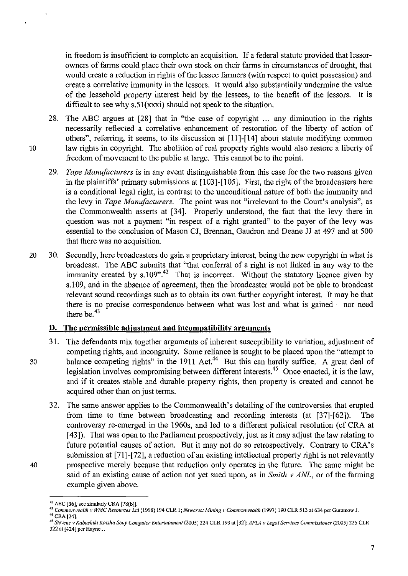in freedom is insufficient to complete an acquisition. If a federal statute provided that lessorowners of farms could place their own stock on their farms in circumstances of drought, that would create a reduction in rights of the lessee farmers (with respect to quiet possession) and create a correlative immunity in the lessors. It would also substantially undermine the value of the leasehold property interest held by the lessees, to the benefit of the lessors. It is difficult to see why s.51(xxxi) should not speak to the situation.

- 28. The ABC argues at [28] that in "the case of copyright ... any diminution in the rights necessarily reflected a correlative enhancement of restoration of the liberty of action of others", referring, it seems, to its discussion at [11]-[14] about statute modifying common 10 law rights in copyright. The abolition of real property rights would also restore a liberty of freedom of movement to the public at large. This cannot be to the point.
	- *29. Tape Manufacturers* is in any event distinguishable from this case for the two reasons given in the plaintiffs' primary submissions at [103]-[105]. First, the right of the broadcasters here is a conditional legal right, in contrast to the unconditional nature of both the immunity and the levy in *Tape Manufacturers.* The point was not "irrelevant to the Court's analysis", as the Commonwealth asserts at [34]. Properly understood, the fact that the levy there in question was not a payment "in respect of a right granted" to the payer of the levy was essential to the conclusion of Mason CJ, Brennan, Gaudron and Deane JJ at 497 and at 500 that there was no acquisition.
- 20 30. Secondly, here broadcasters do gain a proprietary interest, being the new copyright in what is broadcast. The ABC submits that "that conferral of a right is not linked in any way to the immunity created by s.109".<sup>42</sup> That is incorrect. Without the statutory licence given by s.1 09, and in the absence of agreement, then the broadcaster would not be able to broadcast relevant sound recordings such as to obtain its own further copyright interest. It may be that there is no precise correspondence between what was lost and what is gained  $-$  nor need there be. <sup>43</sup>

# **D. The permissible adjustment and incompatibility arguments**

- 31. The defendants mix together arguments of inherent susceptibility to variation, adjustment of competing rights, and incongruity. Some reliance is sought to be placed upon the "attempt to 30 balance competing rights" in the 1911 Act.<sup>44</sup> But this can hardly suffice. A great deal of legislation involves compromising between different interests.<sup>45</sup> Once enacted, it is the law, and if it creates stable and durable property rights, then property is created and cannot be acquired other than on just terms.
- 32. The same answer applies to the Commonwealth's detailing of the controversies that erupted from time to time between broadcasting and recording interests (at [37]-[62]). The controversy re-emerged in the 1960s, and led to a different political resolution (cf CRA at [43]). That was open to the Parliament prospectively, just as it may adjust the law relating to future potential causes of action. But it may not do so retrospectively. Contrary to CRA's submission at [71]-[72], a reduction of an existing intellectual property right is not relevantly 40 prospective merely because that reduction only operates in the future. The same might be said of an existing cause of action not yet sued upon, as in *Smith* v *ANL,* or of the farming example given above.

**<sup>42</sup> ABC [36]; see similarly eRA [78(b)}.** 

<sup>43</sup> Commonwealth v WMC Resources Ltd (1998) 194 CLR 1; Newcrest Mining v Commonwealth (1997) 190 CLR 513 at 634 per Gummow J.

<sup>&</sup>lt;sup>44</sup> CRA [24].

*<sup>45</sup> Stevens v Kabushiki Kaisha SOIlY Compuler Entertainment* **(200S) 224 CLR 193 at [32];** *APLA v Legal Services Commissioner* **(2005) 225 CLR 322 at [424] per Hayne J.**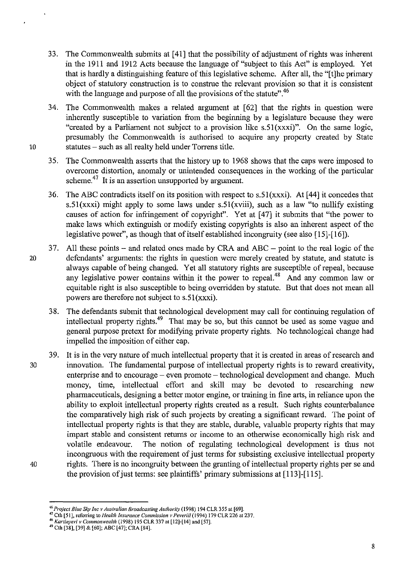- 33. The Commonwealth submits at [41] that the possibility of adjustment of rights was inherent in the 1911 and 1912 Acts because the language of "subject to this Act" is employed. Yet that is hardly a distinguishing feature of this legislative scheme. After all, the "[t]he primary object of statutory construction is to construe the relevant provision so that it is consistent with the language and purpose of all the provisions of the statute".<sup>46</sup>
- 34. The Commonwealth makes a related argument at [62] that the rights in question were inherently susceptible to variation from the beginning by a legislature because they were "created by a Parliament not subject to a provision like  $s.51(xxxi)$ ". On the same logic, presumably the Commonwealth is authorised to acquire any property created by State 10 statutes - such as all realty held under Torrens title.
	- 35. The Commonwealth asserts that the history up to 1968 shows that the caps were imposed to overcome distortion, anomaly or unintended consequences in the working of the particular scheme. $47$  It is an assertion unsupported by argument.
	- 36. The ABC contradicts itself on its position with respect to  $s.51(xxxi)$ . At [44] it concedes that s.51(xxxi) might apply to some laws under s.51(xviii), such as a law "to nullify existing causes of action for infringement of copyright". Yet at [47] it submits that "the power to make laws which extinguish or modify existing copyrights is also an inherent aspect of the legislative power", as though that of itself established incongruity (see also [15]-[16]).
- 37. All these points and related ones made by CRA and ABC point to the real logic of the 20 defendants' arguments: the rights in question were merely created by statute, and statute is always capable of being changed. Yet all statutory rights are susceptible of repeal, because any legislative power contains within it the power to repeal.<sup>48</sup> And any common law or equitable right is also susceptible to being overridden by statute. But that does not mean all powers are therefore not subject to s.51(xxxi).
	- 38. The defendants submit that technological development may call for continuing regulation of intellectual property rights.<sup>49</sup> That may be so, but this cannot be used as some vague and general purpose pretext for modifying private property rights. No technological change had impelled the imposition of either cap.
- 39. It is in the very nature of much intellectual property that it is created in areas of research and 30 innovation. The fundamental purpose of intellectual property rights is to reward creativity, enterprise and to encourage – even promote – technological development and change. Much money, time, intellectual effort and skill may be devoted to researching new pharmaceuticals, designing a better motor engine, or training in fine arts, in reliance upon the ability to exploit intellectual property rights created as a result. Such rights counterbalance the comparatively high risk of such projects by creating a significant reward. The point of intellectual property rights is that they are stable, durable, valuable property rights that may impart stable and consistent returns or income to an otherwise economically high risk and volatile endeavour. The notion of regulating technological development is thus not incongruous with the requirement of just terms for subsisting exclusive intellectual property 40 rights. There is no incongruity between the granting of intellectual property rights per se and the provision of just terms: see plaintiffs' primary submissions at [113]-[115].

**<sup>46</sup>***Project Blue Sky [ne v Australian Broadcasting Authority* **(1998) 194 CLR 355 at [69].** 

<sup>&</sup>lt;sup>47</sup> Cth [51], referring to *Health Insurance Commission v Peverill* (1994) 179 CLR 226 at 237.

<sup>4~</sup> *Kartinyeri v Commonwealth* **(1998) 195 CLR 337 at [12]-[14] and [57].** 

<sup>&</sup>lt;sup>49</sup> Cth [38], [39] & [60]; ABC [47]; CRA [84].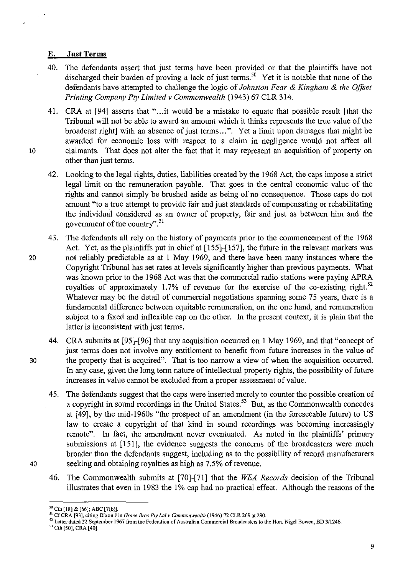### **E. Just Terms**

40. The defendants assert that just terms have been provided or that the plaintiffs have not discharged their burden of proving a lack of just terms.<sup>50</sup> Yet it is notable that none of the defendants have attempted to challenge the logic of *Johnston Fear* & *Kingham* & *the Offiet Printing Company Pty Limited* v *Commonwealth* (1943) 67 CLR 314.

41. CRA at [94] asserts that "...it would be a mistake to equate that possible result [that the Tribunal will not be able to award an amount which it thinks represents the true value of the broadcast right] with an absence of just terms...". Yet a limit upon damages that might be awarded for economic loss with respect to a claim in negligence would not affect all 10 claimants. That does not alter the fact that it may represent an acquisition of property on other than just terms.

42. Looking to the legal rights, duties, liabilities created by the 1968 Act, the caps impose a strict legal limit on the remuneration payable. That goes to the central economic value of the rights and cannot simply be brushed aside as being of no consequence. Those caps do not amount "to a true attempt to provide fair and just standards of compensating or rehabilitating the individual considered as an owner of property, fair and just as between him and the government of the country".<sup>51</sup>

- 43. The defendants all rely on the history of payments prior to the commencement of the 1968 Act. Yet, as the plaintiffs put in chief at [155]-[157], the future in the relevant markets was 20 not reliably predictable as at 1 May 1969, and there have been many instances where the Copyright Tribunal has set rates at levels significantly higher than previous payments. What was known prior to the 1968 Act was that the commercial radio stations were paying APRA royalties of approximately 1.7% of revenue for the exercise of the co-existing right. $52$ Whatever may be the detail of commercial negotiations spanning some 75 years, there is a fundamental difference between equitable remuneration, on the one hand, and remuneration subject to a fixed and inflexible cap on the other. In the present context, it is plain that the latter is inconsistent with just terms.
- 44. CRA submits at [95]-[96] that any acquisition occurred on 1 May 1969, and that "concept of just terms does not involve any entitlement to benefit from future increases in the value of 30 the property that is acquired". That is too narrow a view of when the acquisition occurred. In any case, given the long term nature of intellectual property rights, the possibility of future increases in value cannot be excluded from a proper assessment of value.
- 45. The defendants suggest that the caps were inserted merely to counter the possible creation of a copyright in sound recordings in the United States.<sup>53</sup> But, as the Commonwealth concedes at [49], by the mid-1960s "the prospect of an amendment (in the foreseeable future) to US law to create a copyright of that kind in sound recordings was becoming increasingly remote". In fact, the amendment never eventuated. As noted in the plaintiffs' primary submissions at [151], the evidence suggests the concerns of the broadcasters were much broader than the defendants suggest, including as to the possibility of record manufacturers 40 seeking and obtaining royalties as high as 7.5% of revenue.
- 

<sup>46.</sup> The Commonwealth submits at [70]-[71] that the *WEA Records* decision of the Tribunal illustrates that even in 1983 the 1% cap had no practical effect. Although the reasons of the

 $^{50}$  Cth [18] & [66]; ABC [7(b)].

**SI CfCRA [93}, citing Dixon J in** *Grace Bros* **Ply Lld** *v Commonwealth* **(1946) 72 CLR269 at 290.** 

**<sup>52</sup> Letter dated 22 September 1967 from the Federation of Australian Commercial Broadcasters to the HOll. Nigel Bowen, BD 3/1246.** 

<sup>&</sup>lt;sup>53</sup> Cth [50], CRA [40].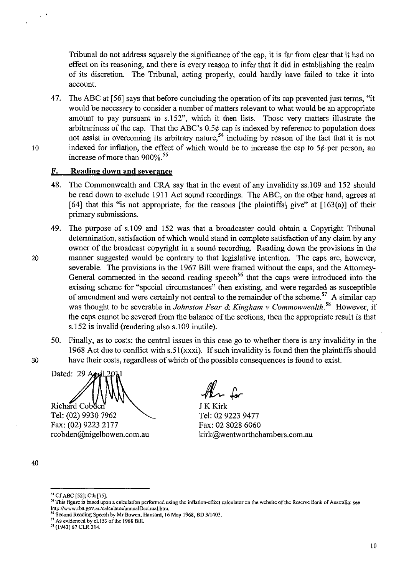Tribunal do not address squarely the significance of the cap, it is far from clear that it had no effect on its reasoning, and there is every reason to infer that it did in establishing the realm of its discretion. The Tribunal, acting properly, could hardly have failed to take it into account.

47. The ABC at [S6] says that before concluding the operation of its cap prevented just terms, "it would be necessary to consider a number of matters relevant to what would be an appropriate amount to pay pursuant to s.IS2", which it then lists. Those very matters illustrate the arbitrariness of the cap. That the ABC's  $0.5\phi$  cap is indexed by reference to population does not assist in overcoming its arbitrary nature,<sup>54</sup> including by reason of the fact that it is not 10 indexed for inflation, the effect of which would be to increase the cap to  $5¢$  per person, an increase of more than 900%.<sup>55</sup>

## **F. Reading down and severance**

- 48. The Commonwealth and CRA say that in the event of any invalidity ss.109 and IS2 should be read down to exclude 1911 Act sound recordings. The ABC, on the other hand, agrees at [64] that this "is not appropriate, for the reasons [the plaintiffs] give" at [163(a)] of their primary submissions.
- 49. The purpose of s.1 09 and IS2 was that a broadcaster could obtain a Copyright Tribunal determination, satisfaction of which would stand in complete satisfaction of any claim by any owner of the broadcast copyright in a sound recording. Reading down the provisions in the 20 manner suggested would be contrary to that legislative intention. The caps are, however, severable. The provisions in the 1967 Bill were framed without the caps, and the Attomey-General commented in the second reading speech<sup>56</sup> that the caps were introduced into the existing scheme for "special circumstances" then existing, and were regarded as susceptible of amendment and were certainly not central to the remainder of the scheme.<sup>57</sup> A similar cap was thought to be severable in *Johnston Fear* & *Kingham* v *Commonwealth.* 58 However, if the caps cannot be severed from the balance of the sections, then the appropriate result is that s.IS2 is invalid (rendering also s.109 inutile).
- SO. Finally, as to costs: the central issues in this case go to whether there is any invalidity in the 1968 Act due to conflict with s.SI(xxxi). If such invalidity is found then the plaintiffs should 30 have their costs, regardless of which of the possible consequences is found to exist.

Dated: 29 / 1 Richard Cobden

Tel: (02) 9930 7962 Fax: (02) 9223 2177 rcobden@nigelbowen.com.au

 $M_{\rm t}$  for

J KKirk Tel: 02 9223 9477 Fax: 02 8028 6060 kirk@wentworthchambers.com.au

<sup>58</sup> (1943) 67 CLR 314.

<sup>40</sup> 

<sup>&</sup>lt;sup>54</sup> Cf ABC [52]; Cth [75].

**<sup>5\$</sup> This figure is based upon a calculation perfonned using the inflation-effect calculator on the website** of the **Reserve Bank of Australia: see http://www.rba.gov.aulcalculator/annualDecimal.htm.** 

<sup>&</sup>lt;sup>56</sup> Second Reading Speech by Mr Bowen, Hansard, 16 May 1968, BD 3/1403.

<sup>&</sup>lt;sup>57</sup> As evidenced by cl.153 of the 1968 Bill.